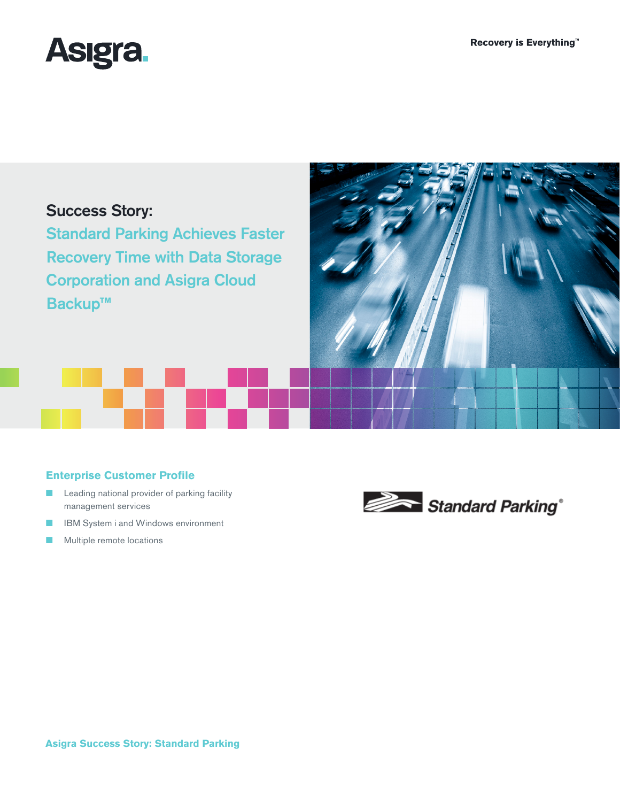

# Success Story:

Standard Parking Achieves Faster Recovery Time with Data Storage Corporation and Asigra Cloud Backup**™**



## **Enterprise Customer Profile**

- Leading national provider of parking facility management services
- IBM System i and Windows environment
- Multiple remote locations